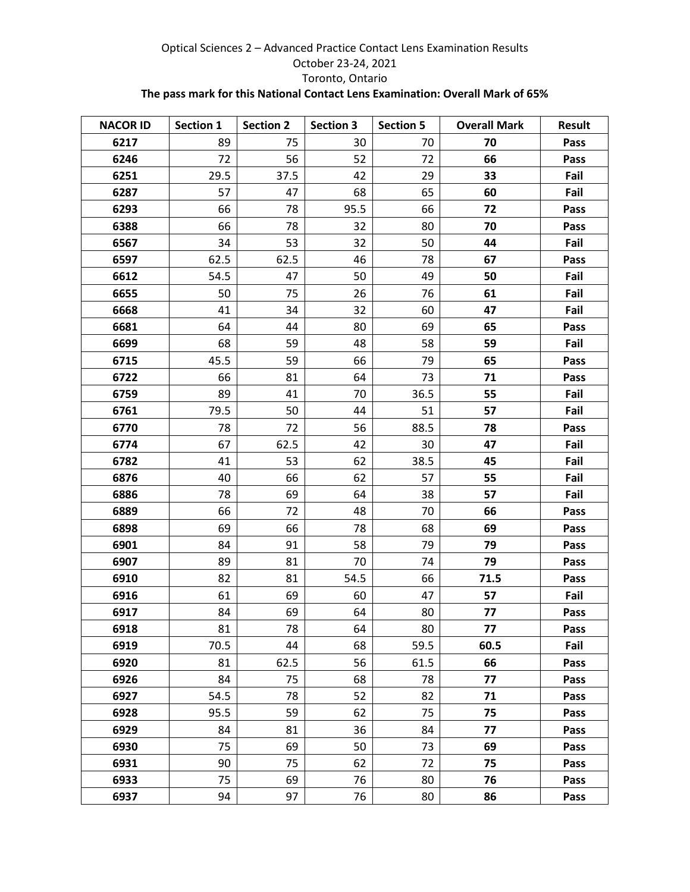## Optical Sciences 2 – Advanced Practice Contact Lens Examination Results October 23-24, 2021 Toronto, Ontario **The pass mark for this National Contact Lens Examination: Overall Mark of 65%**

| <b>NACOR ID</b> | Section 1 | <b>Section 2</b> | <b>Section 3</b> | <b>Section 5</b> | <b>Overall Mark</b> | <b>Result</b> |
|-----------------|-----------|------------------|------------------|------------------|---------------------|---------------|
| 6217            | 89        | 75               | 30               | 70               | 70                  | Pass          |
| 6246            | 72        | 56               | 52               | 72               | 66                  | Pass          |
| 6251            | 29.5      | 37.5             | 42               | 29               | 33                  | Fail          |
| 6287            | 57        | 47               | 68               | 65               | 60                  | Fail          |
| 6293            | 66        | 78               | 95.5             | 66               | 72                  | Pass          |
| 6388            | 66        | 78               | 32               | 80               | 70                  | Pass          |
| 6567            | 34        | 53               | 32               | 50               | 44                  | Fail          |
| 6597            | 62.5      | 62.5             | 46               | 78               | 67                  | Pass          |
| 6612            | 54.5      | 47               | 50               | 49               | 50                  | Fail          |
| 6655            | 50        | 75               | 26               | 76               | 61                  | Fail          |
| 6668            | 41        | 34               | 32               | 60               | 47                  | Fail          |
| 6681            | 64        | 44               | 80               | 69               | 65                  | Pass          |
| 6699            | 68        | 59               | 48               | 58               | 59                  | Fail          |
| 6715            | 45.5      | 59               | 66               | 79               | 65                  | Pass          |
| 6722            | 66        | 81               | 64               | 73               | 71                  | Pass          |
| 6759            | 89        | 41               | 70               | 36.5             | 55                  | Fail          |
| 6761            | 79.5      | 50               | 44               | 51               | 57                  | Fail          |
| 6770            | 78        | 72               | 56               | 88.5             | 78                  | Pass          |
| 6774            | 67        | 62.5             | 42               | 30               | 47                  | Fail          |
| 6782            | 41        | 53               | 62               | 38.5             | 45                  | Fail          |
| 6876            | 40        | 66               | 62               | 57               | 55                  | Fail          |
| 6886            | 78        | 69               | 64               | 38               | 57                  | Fail          |
| 6889            | 66        | 72               | 48               | 70               | 66                  | Pass          |
| 6898            | 69        | 66               | 78               | 68               | 69                  | Pass          |
| 6901            | 84        | 91               | 58               | 79               | 79                  | Pass          |
| 6907            | 89        | 81               | 70               | 74               | 79                  | Pass          |
| 6910            | 82        | 81               | 54.5             | 66               | 71.5                | Pass          |
| 6916            | 61        | 69               | 60               | 47               | 57                  | Fail          |
| 6917            | 84        | 69               | 64               | 80               | 77                  | Pass          |
| 6918            | 81        | 78               | 64               | 80               | 77                  | Pass          |
| 6919            | 70.5      | 44               | 68               | 59.5             | 60.5                | Fail          |
| 6920            | 81        | 62.5             | 56               | 61.5             | 66                  | Pass          |
| 6926            | 84        | 75               | 68               | 78               | 77                  | Pass          |
| 6927            | 54.5      | 78               | 52               | 82               | 71                  | Pass          |
| 6928            | 95.5      | 59               | 62               | 75               | 75                  | Pass          |
| 6929            | 84        | 81               | 36               | 84               | 77                  | Pass          |
| 6930            | 75        | 69               | 50               | 73               | 69                  | Pass          |
| 6931            | 90        | 75               | 62               | 72               | 75                  | Pass          |
| 6933            | 75        | 69               | 76               | 80               | 76                  | Pass          |
| 6937            | 94        | 97               | 76               | 80               | 86                  | Pass          |